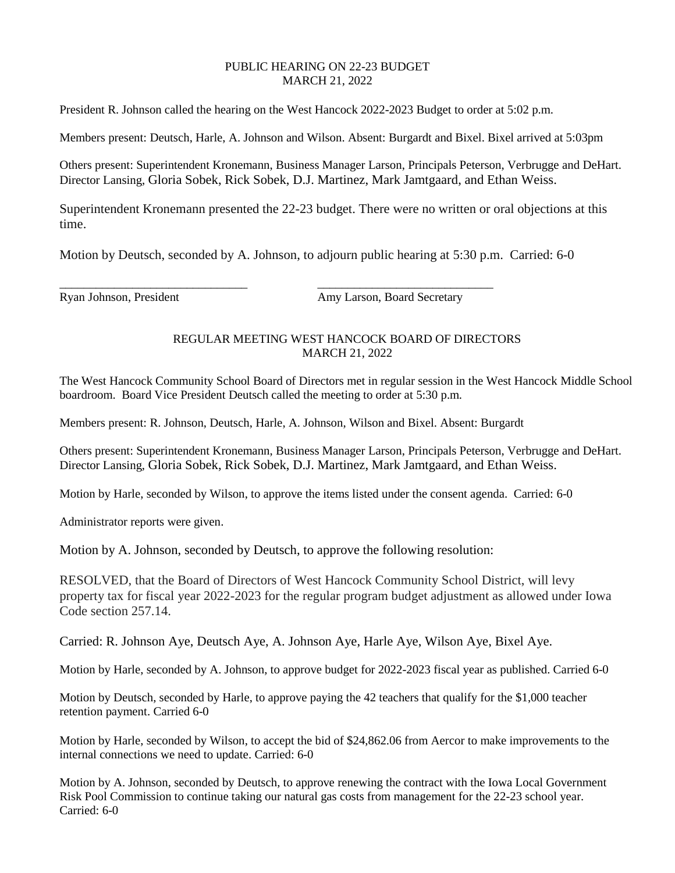## PUBLIC HEARING ON 22-23 BUDGET MARCH 21, 2022

President R. Johnson called the hearing on the West Hancock 2022-2023 Budget to order at 5:02 p.m.

Members present: Deutsch, Harle, A. Johnson and Wilson. Absent: Burgardt and Bixel. Bixel arrived at 5:03pm

Others present: Superintendent Kronemann, Business Manager Larson, Principals Peterson, Verbrugge and DeHart. Director Lansing, Gloria Sobek, Rick Sobek, D.J. Martinez, Mark Jamtgaard, and Ethan Weiss.

Superintendent Kronemann presented the 22-23 budget. There were no written or oral objections at this time.

Motion by Deutsch, seconded by A. Johnson, to adjourn public hearing at 5:30 p.m. Carried: 6-0

Ryan Johnson, President Amy Larson, Board Secretary

## REGULAR MEETING WEST HANCOCK BOARD OF DIRECTORS MARCH 21, 2022

The West Hancock Community School Board of Directors met in regular session in the West Hancock Middle School boardroom. Board Vice President Deutsch called the meeting to order at 5:30 p.m.

Members present: R. Johnson, Deutsch, Harle, A. Johnson, Wilson and Bixel. Absent: Burgardt

\_\_\_\_\_\_\_\_\_\_\_\_\_\_\_\_\_\_\_\_\_\_\_\_\_\_\_\_\_\_\_ \_\_\_\_\_\_\_\_\_\_\_\_\_\_\_\_\_\_\_\_\_\_\_\_\_\_\_\_\_

Others present: Superintendent Kronemann, Business Manager Larson, Principals Peterson, Verbrugge and DeHart. Director Lansing, Gloria Sobek, Rick Sobek, D.J. Martinez, Mark Jamtgaard, and Ethan Weiss.

Motion by Harle, seconded by Wilson, to approve the items listed under the consent agenda. Carried: 6-0

Administrator reports were given.

Motion by A. Johnson, seconded by Deutsch, to approve the following resolution:

RESOLVED, that the Board of Directors of West Hancock Community School District, will levy property tax for fiscal year 2022-2023 for the regular program budget adjustment as allowed under Iowa Code section 257.14.

Carried: R. Johnson Aye, Deutsch Aye, A. Johnson Aye, Harle Aye, Wilson Aye, Bixel Aye.

Motion by Harle, seconded by A. Johnson, to approve budget for 2022-2023 fiscal year as published. Carried 6-0

Motion by Deutsch, seconded by Harle, to approve paying the 42 teachers that qualify for the \$1,000 teacher retention payment. Carried 6-0

Motion by Harle, seconded by Wilson, to accept the bid of \$24,862.06 from Aercor to make improvements to the internal connections we need to update. Carried: 6-0

Motion by A. Johnson, seconded by Deutsch, to approve renewing the contract with the Iowa Local Government Risk Pool Commission to continue taking our natural gas costs from management for the 22-23 school year. Carried: 6-0